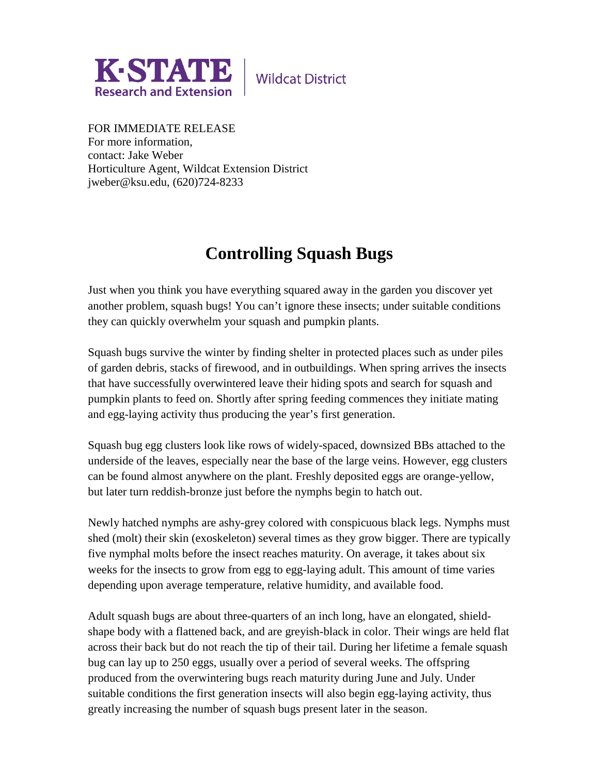

**Wildcat District** 

FOR IMMEDIATE RELEASE For more information, contact: Jake Weber Horticulture Agent, Wildcat Extension District jweber@ksu.edu, (620)724-8233

## **Controlling Squash Bugs**

Just when you think you have everything squared away in the garden you discover yet another problem, squash bugs! You can't ignore these insects; under suitable conditions they can quickly overwhelm your squash and pumpkin plants.

Squash bugs survive the winter by finding shelter in protected places such as under piles of garden debris, stacks of firewood, and in outbuildings. When spring arrives the insects that have successfully overwintered leave their hiding spots and search for squash and pumpkin plants to feed on. Shortly after spring feeding commences they initiate mating and egg-laying activity thus producing the year's first generation.

Squash bug egg clusters look like rows of widely-spaced, downsized BBs attached to the underside of the leaves, especially near the base of the large veins. However, egg clusters can be found almost anywhere on the plant. Freshly deposited eggs are orange-yellow, but later turn reddish-bronze just before the nymphs begin to hatch out.

Newly hatched nymphs are ashy-grey colored with conspicuous black legs. Nymphs must shed (molt) their skin (exoskeleton) several times as they grow bigger. There are typically five nymphal molts before the insect reaches maturity. On average, it takes about six weeks for the insects to grow from egg to egg-laying adult. This amount of time varies depending upon average temperature, relative humidity, and available food.

Adult squash bugs are about three-quarters of an inch long, have an elongated, shieldshape body with a flattened back, and are greyish-black in color. Their wings are held flat across their back but do not reach the tip of their tail. During her lifetime a female squash bug can lay up to 250 eggs, usually over a period of several weeks. The offspring produced from the overwintering bugs reach maturity during June and July. Under suitable conditions the first generation insects will also begin egg-laying activity, thus greatly increasing the number of squash bugs present later in the season.